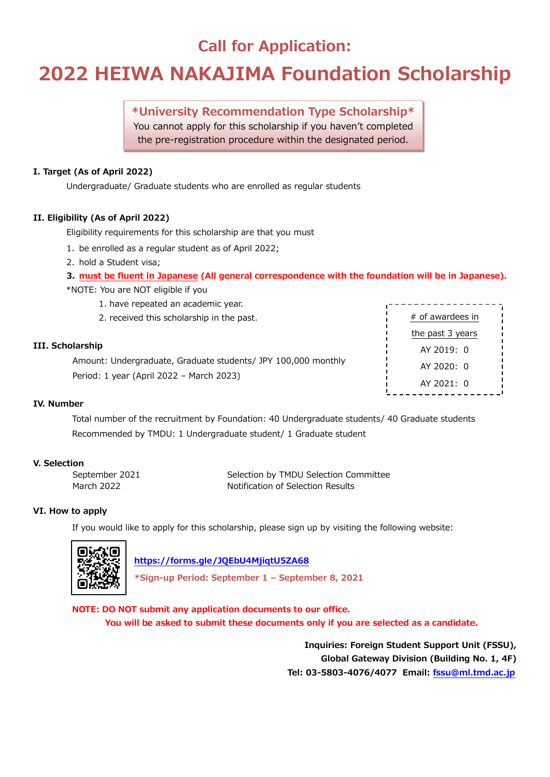### **Call for Application:**

## **2022 HEIWA NAKAJIMA Foundation Scholarship**

**\*University Recommendation Type Scholarship\*** You cannot apply for this scholarship if you haven't completed the pre-registration procedure within the designated period.

### **I. Target (As of April 2022)**

Undergraduate/ Graduate students who are enrolled as regular students

### **II. Eligibility (As of April 2022)**

Eligibility requirements for this scholarship are that you must

- 1. be enrolled as a regular student as of April 2022;
- 2. hold a Student visa;
- **3. must be fluent in Japanese (All general correspondence with the foundation will be in Japanese).**

\*NOTE: You are NOT eligible if you

- 1. have repeated an academic year.
- 2. received this scholarship in the past.

### **III. Scholarship**

Amount: Undergraduate, Graduate students/ JPY 100,000 monthly Period: 1 year (April 2022 – March 2023)

| the past 3 years |  |  |  |  |
|------------------|--|--|--|--|
|                  |  |  |  |  |
|                  |  |  |  |  |
|                  |  |  |  |  |
|                  |  |  |  |  |

### **IV. Number**

Total number of the recruitment by Foundation: 40 Undergraduate students/ 40 Graduate students Recommended by TMDU: 1 Undergraduate student/ 1 Graduate student

### **V. Selection**

September 2021 Selection by TMDU Selection Committee March 2022 Motification of Selection Results

### **VI. How to apply**

If you would like to apply for this scholarship, please sign up by visiting the following website:



 **<https://forms.gle/JQEbU4MjiqtU5ZA68>**

**\*Sign-up Period: September 1 – September 8, 2021**

**NOTE: DO NOT submit any application documents to our office. You will be asked to submit these documents only if you are selected as a candidate.**

> **Inquiries: Foreign Student Support Unit (FSSU), Global Gateway Division (Building No. 1, 4F) Tel: 03-5803-4076/4077 Email: [fssu@ml.tmd.ac.jp](mailto:fssu@ml.tmd.ac.jp)**